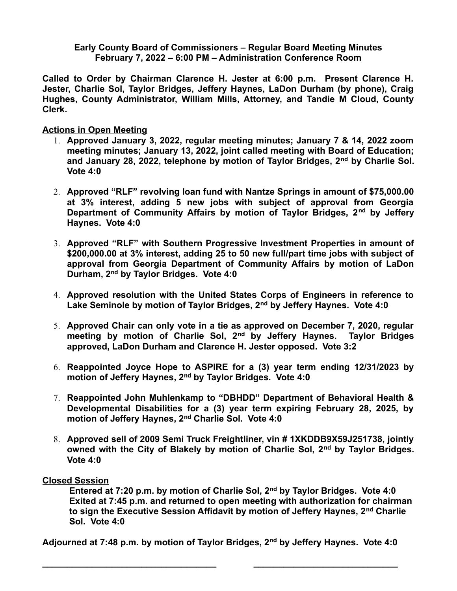**Early County Board of Commissioners – Regular Board Meeting Minutes February 7, 2022 – 6:00 PM – Administration Conference Room**

**Called to Order by Chairman Clarence H. Jester at 6:00 p.m. Present Clarence H. Jester, Charlie Sol, Taylor Bridges, Jeffery Haynes, LaDon Durham (by phone), Craig Hughes, County Administrator, William Mills, Attorney, and Tandie M Cloud, County Clerk.** 

**Actions in Open Meeting**

- 1. **Approved January 3, 2022, regular meeting minutes; January 7 & 14, 2022 zoom meeting minutes; January 13, 2022, joint called meeting with Board of Education; and January 28, 2022, telephone by motion of Taylor Bridges, 2nd by Charlie Sol. Vote 4:0**
- 2. **Approved "RLF" revolving loan fund with Nantze Springs in amount of \$75,000.00 at 3% interest, adding 5 new jobs with subject of approval from Georgia Department of Community Affairs by motion of Taylor Bridges, 2nd by Jeffery Haynes. Vote 4:0**
- 3. **Approved "RLF" with Southern Progressive Investment Properties in amount of \$200,000.00 at 3% interest, adding 25 to 50 new full/part time jobs with subject of approval from Georgia Department of Community Affairs by motion of LaDon Durham, 2nd by Taylor Bridges. Vote 4:0**
- 4. **Approved resolution with the United States Corps of Engineers in reference to Lake Seminole by motion of Taylor Bridges, 2nd by Jeffery Haynes. Vote 4:0**
- 5. **Approved Chair can only vote in a tie as approved on December 7, 2020, regular meeting by motion of Charlie Sol, 2nd by Jeffery Haynes. Taylor Bridges approved, LaDon Durham and Clarence H. Jester opposed. Vote 3:2**
- 6. **Reappointed Joyce Hope to ASPIRE for a (3) year term ending 12/31/2023 by motion of Jeffery Haynes, 2nd by Taylor Bridges. Vote 4:0**
- 7. **Reappointed John Muhlenkamp to "DBHDD" Department of Behavioral Health & Developmental Disabilities for a (3) year term expiring February 28, 2025, by motion of Jeffery Haynes, 2nd Charlie Sol. Vote 4:0**
- 8. **Approved sell of 2009 Semi Truck Freightliner, vin # 1XKDDB9X59J251738, jointly owned with the City of Blakely by motion of Charlie Sol, 2nd by Taylor Bridges. Vote 4:0**

## **Closed Session**

**Entered at 7:20 p.m. by motion of Charlie Sol, 2nd by Taylor Bridges. Vote 4:0 Exited at 7:45 p.m. and returned to open meeting with authorization for chairman to sign the Executive Session Affidavit by motion of Jeffery Haynes, 2nd Charlie Sol. Vote 4:0**

**Adjourned at 7:48 p.m. by motion of Taylor Bridges, 2nd by Jeffery Haynes. Vote 4:0**

**\_\_\_\_\_\_\_\_\_\_\_\_\_\_\_\_\_\_\_\_\_\_\_\_\_\_\_\_\_\_\_\_\_\_\_ \_\_\_\_\_\_\_\_\_\_\_\_\_\_\_\_\_\_\_\_\_\_\_\_\_\_\_\_\_**